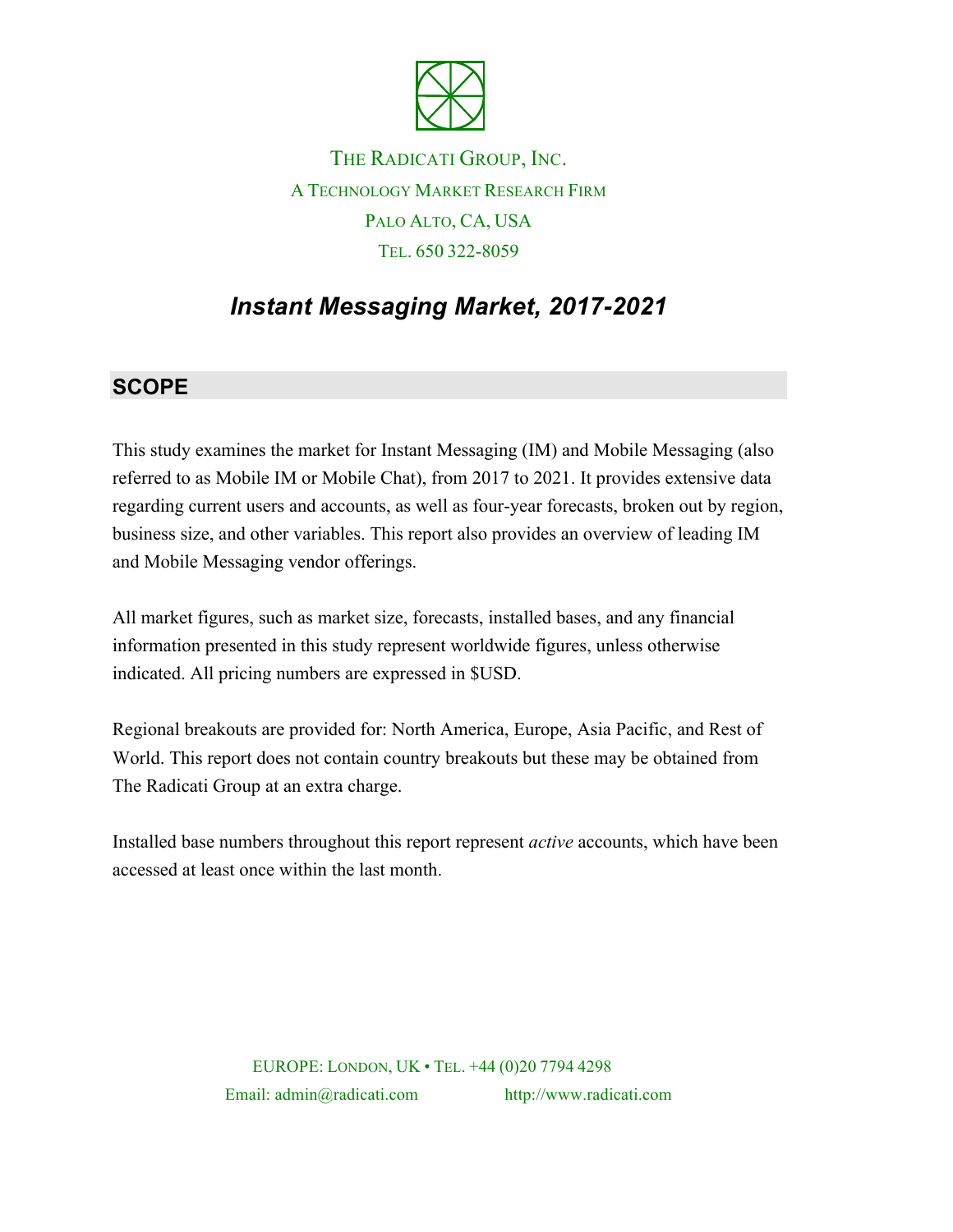

## THE RADICATI GROUP, INC. A TECHNOLOGY MARKET RESEARCH FIRM PALO ALTO, CA, USA TEL. 650 322-8059

# *Instant Messaging Market, 2017-2021*

### **SCOPE**

This study examines the market for Instant Messaging (IM) and Mobile Messaging (also referred to as Mobile IM or Mobile Chat), from 2017 to 2021. It provides extensive data regarding current users and accounts, as well as four-year forecasts, broken out by region, business size, and other variables. This report also provides an overview of leading IM and Mobile Messaging vendor offerings.

All market figures, such as market size, forecasts, installed bases, and any financial information presented in this study represent worldwide figures, unless otherwise indicated. All pricing numbers are expressed in \$USD.

Regional breakouts are provided for: North America, Europe, Asia Pacific, and Rest of World. This report does not contain country breakouts but these may be obtained from The Radicati Group at an extra charge.

Installed base numbers throughout this report represent *active* accounts, which have been accessed at least once within the last month.

> EUROPE: LONDON, UK • TEL. +44 (0)20 7794 4298 Email: admin@radicati.com http://www.radicati.com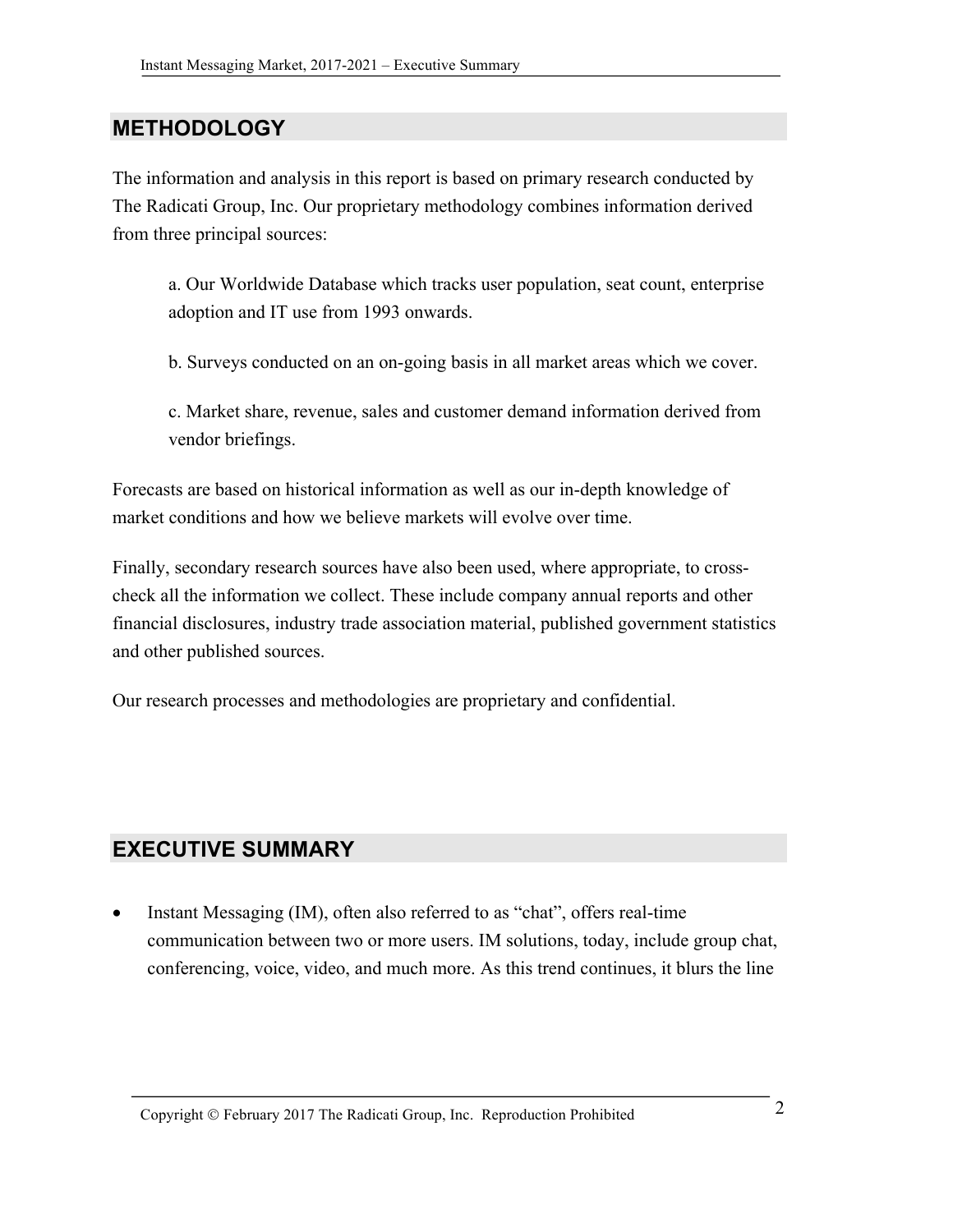#### **METHODOLOGY**

The information and analysis in this report is based on primary research conducted by The Radicati Group, Inc. Our proprietary methodology combines information derived from three principal sources:

a. Our Worldwide Database which tracks user population, seat count, enterprise adoption and IT use from 1993 onwards.

b. Surveys conducted on an on-going basis in all market areas which we cover.

c. Market share, revenue, sales and customer demand information derived from vendor briefings.

Forecasts are based on historical information as well as our in-depth knowledge of market conditions and how we believe markets will evolve over time.

Finally, secondary research sources have also been used, where appropriate, to crosscheck all the information we collect. These include company annual reports and other financial disclosures, industry trade association material, published government statistics and other published sources.

Our research processes and methodologies are proprietary and confidential.

#### **EXECUTIVE SUMMARY**

• Instant Messaging (IM), often also referred to as "chat", offers real-time communication between two or more users. IM solutions, today, include group chat, conferencing, voice, video, and much more. As this trend continues, it blurs the line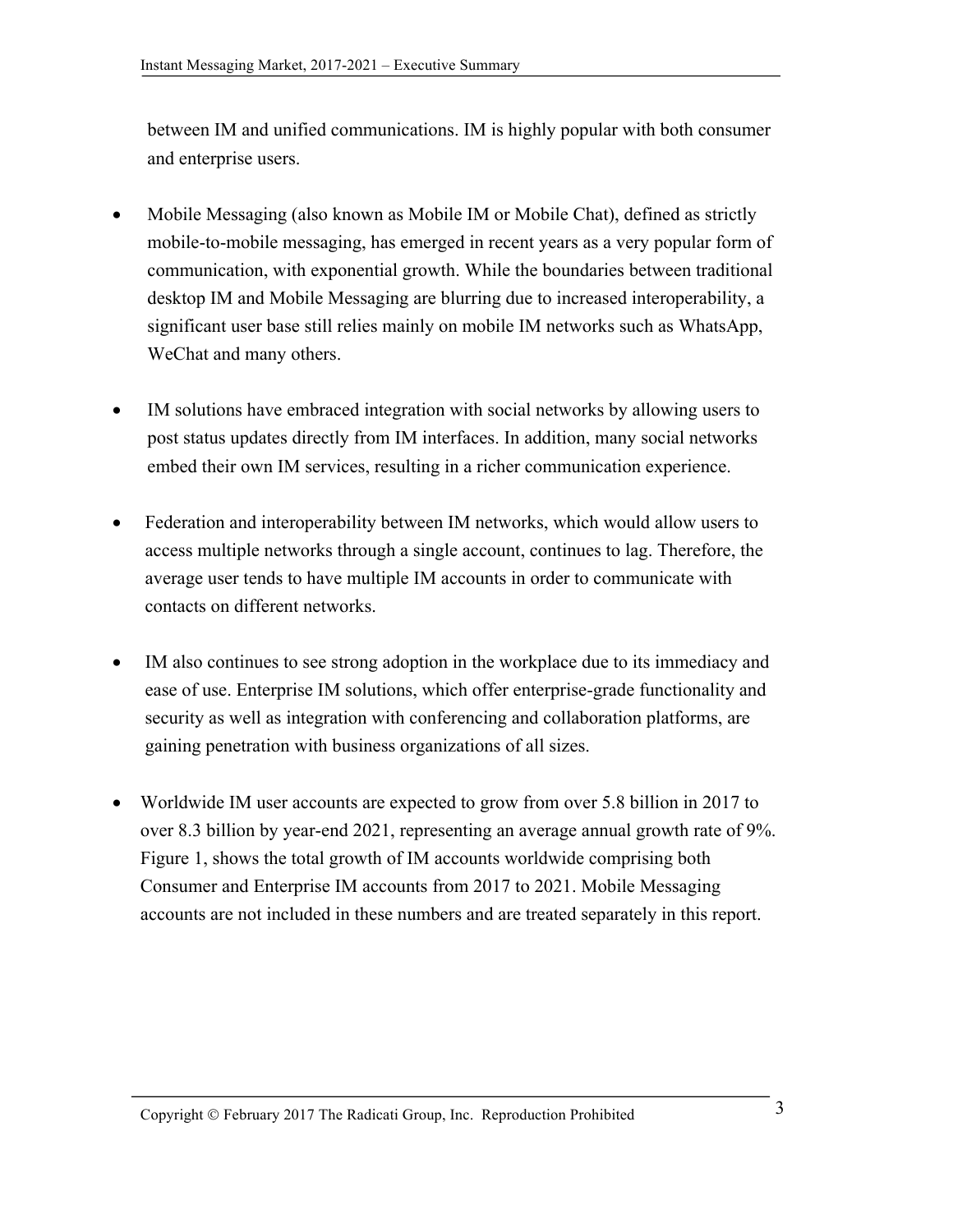between IM and unified communications. IM is highly popular with both consumer and enterprise users.

- Mobile Messaging (also known as Mobile IM or Mobile Chat), defined as strictly mobile-to-mobile messaging, has emerged in recent years as a very popular form of communication, with exponential growth. While the boundaries between traditional desktop IM and Mobile Messaging are blurring due to increased interoperability, a significant user base still relies mainly on mobile IM networks such as WhatsApp, WeChat and many others.
- IM solutions have embraced integration with social networks by allowing users to post status updates directly from IM interfaces. In addition, many social networks embed their own IM services, resulting in a richer communication experience.
- Federation and interoperability between IM networks, which would allow users to access multiple networks through a single account, continues to lag. Therefore, the average user tends to have multiple IM accounts in order to communicate with contacts on different networks.
- IM also continues to see strong adoption in the workplace due to its immediacy and ease of use. Enterprise IM solutions, which offer enterprise-grade functionality and security as well as integration with conferencing and collaboration platforms, are gaining penetration with business organizations of all sizes.
- Worldwide IM user accounts are expected to grow from over 5.8 billion in 2017 to over 8.3 billion by year-end 2021, representing an average annual growth rate of 9%. Figure 1, shows the total growth of IM accounts worldwide comprising both Consumer and Enterprise IM accounts from 2017 to 2021. Mobile Messaging accounts are not included in these numbers and are treated separately in this report.